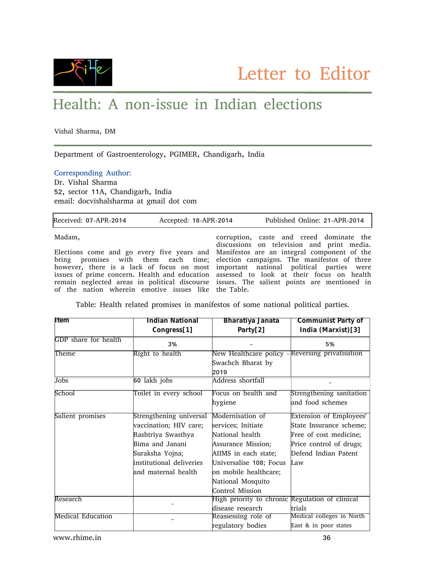

## Health: A non-issue in Indian elections

Vishal Sharma, DM

Department of Gastroenterology, PGIMER, Chandigarh, India

## Corresponding Author:

r

Dr. Vishal Sharma 52, sector 11A, Chandigarh, India email: docvishalsharma at gmail dot com

| Received: 07-APR-2014                                | Accepted: 18-APR-2014 | Published Online: 21-APR-2014                                                             |
|------------------------------------------------------|-----------------------|-------------------------------------------------------------------------------------------|
| Madam,                                               |                       | corruption, caste and creed dominate the                                                  |
|                                                      |                       | discussions on television and print media.                                                |
|                                                      |                       | Elections come and go every five years and Manifestos are an integral component of the    |
|                                                      |                       | bring promises with them each time; election campaigns. The manifestos of three           |
|                                                      |                       | however, there is a lack of focus on most important national political parties were       |
|                                                      |                       | issues of prime concern. Health and education assessed to look at their focus on health   |
|                                                      |                       | remain neglected areas in political discourse issues. The salient points are mentioned in |
| of the nation wherein emotive issues like the Table. |                       |                                                                                           |

Table: Health related promises in manifestos of some national political parties.

| lltem                    | Indian National          | Bharatiya Janata                                | Communist Party of        |
|--------------------------|--------------------------|-------------------------------------------------|---------------------------|
|                          | Congress[1]              | Party $[2]$                                     | India (Marxist)[3]        |
| GDP share for health     | 3%                       |                                                 | 5%                        |
| Right to health<br>Theme |                          | New Healthcare policy - Reversing privatisation |                           |
|                          |                          | Swachch Bharat by                               |                           |
|                          |                          | 2019                                            |                           |
| Jobs                     | 60 lakh jobs             | <b>Address shortfall</b>                        |                           |
| School                   | Toilet in every school   | Focus on health and                             | Strengthening sanitation  |
|                          |                          | hygiene                                         | and food schemes          |
| Salient promises         | Strengthening universal  | Modernisation of                                | Extension of Employees'   |
|                          | vaccination; HIV care;   | services; Initiate                              | State Insurance scheme;   |
|                          | Rashtriya Swasthya       | National health                                 | Free of cost medicine;    |
|                          | Bima and Janani          | Assurance Mission;                              | Price control of drugs;   |
|                          | Suraksha Yojna;          | AIIMS in each state;                            | Defend Indian Patent      |
|                          | institutional deliveries | Universalise 108; Focus                         | Law                       |
|                          | and maternal health      | on mobile healthcare;                           |                           |
|                          |                          | National Mosquito                               |                           |
|                          |                          | Control Mission                                 |                           |
| Research                 |                          | High priority to chronic Regulation of clinical |                           |
|                          |                          | disease research                                | trials                    |
| <b>Medical Education</b> |                          | Reassessing role of                             | Medical colleges in North |
|                          |                          | regulatory bodies                               | East & in poor states     |